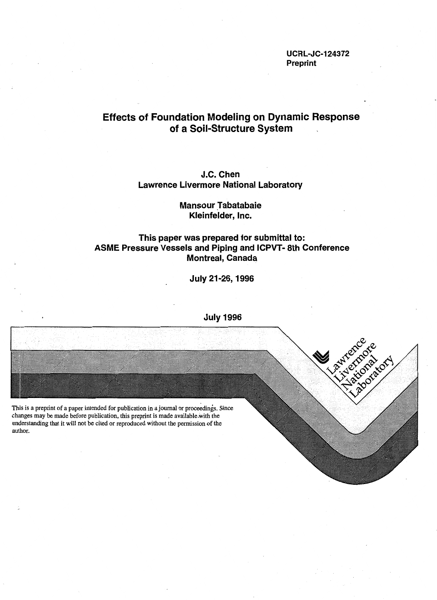**UCRL-JC-124372 Preprint** 

# **Effects of Foundation Modeling on Dynamic Response of a Soil-Structure System**

## **J.C. Chen Lawrence Livermore National Laboratory**

## **Mansour Tabatabaie Kleinfelder, Inc.**

## **This paper was prepared for submittal to: ASME Pressure Vessels and Piping and ICPVT- 8th Conference Montreal, Canada**

**July 21-26, 1996** 



**July 1996**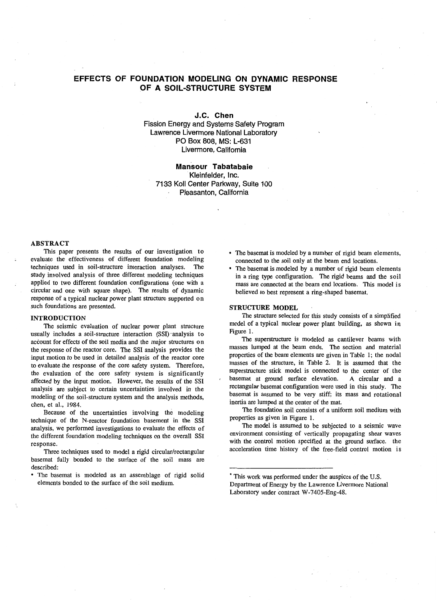## **EFFECTS OF FOUNDATION MODELING ON DYNAMIC RESPONSE OF A SOIL-STRUCTURE SYSTEM**

**J.C. Chen** 

Fission Energy and Systems Safety Program Lawrence Livermore National Laboratory PO Box 808, MS: L-631 Livermore, California

### **Mansour Tabatabaie**  Kleinfelder, Inc. 7133 Koll Center Parkway, Suite 100 Pleasanton, California

#### ABSTRACT

This paper presents the results of our investigation to evaluate the effectiveness of different foundation modeling techniques used in soil-structure interaction analyses. The study involved analysis of three different modeling techniques applied to two different foundation configurations (one with a circular and one with square shape). The results of dynamic response of a typical nuclear power plant structure supported on such foundations are presented.

#### INTRODUCTION

The seismic evaluation of nuclear power plant structure usually includes a soil-structure interaction (SSI) analysis to account for effects of the soil media and the major structures on the response of the reactor core. The SSI analysis provides the input motion to be used in detailed analysis of the reactor core to evaluate the response of the core safety system. Therefore, the evaluation of the core safety system is significantly affected by the input motion. However, the results of the SSI analysis are subject to certain uncertainties involved in the modeling of the soil-structure system and the analysis methods, chen, et al., 1984.

Because of the uncertainties involving the modeling technique of the N-reactor foundation basement in the SSI analysis, we performed investigations to evaluate the effects of the different foundation modeling techniques on the overall SSI response.

Three techniques used to model a rigid circular/rectangular basemat fully bonded to the surface of the soil mass are described:

• The basemat is modeled as an assemblage of rigid solid elements bonded to the surface of the soil medium.

- The basemat is modeled by a number of rigid beam elements, connected to the soil only at the beam end locations.
- The basemat is modeled by a number of rigid beam elements in a ring type configuration. The rigid beams and the soil mass are connected at the beam end locations. This model is believed to best represent a ring-shaped basemat.

#### STRUCTURE MODEL

The structure selected for this study consists of a simplified model of a typical nuclear power plant building, as shown in Figure 1.

The superstructure is modeled as cantilever beams with masses lumped at the beam ends. The section and material properties of the beam elements are given in Table 1; the nodal masses of the structure, in Table 2. It is assumed that the superstructure stick model is connected to the center of the basemat at ground surface elevation. A circular and a rectangular basemat configuration were used in this study. The basemat is assumed to be very stiff; its mass and rotational inertia are lumped at the center of the mat.

The foundation soil consists of a uniform soil medium with properties as given in Figure 1.

The model is assumed to be subjected to a seismic wave environment consisting of vertically propagating shear waves with the control motion specified at the ground surface. the acceleration time history of the free-field control motion is

<sup>•</sup> This work was performed under the auspices of the U.S. Department of Energy by the Lawrence Livermore National Laboratory under contract W-7405-Eng-48.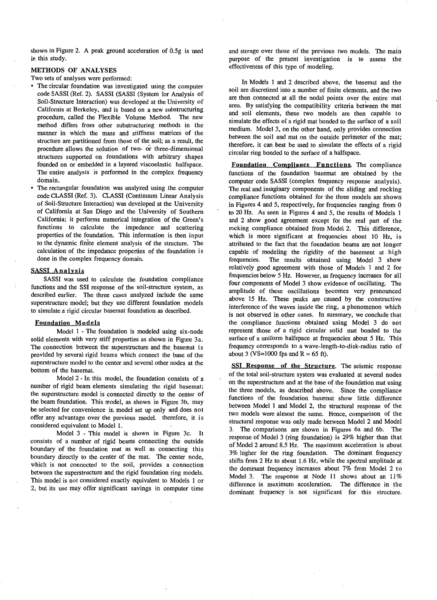shown in Figure 2. A peak ground acceleration of 0.5g is used in this study.

#### METHODS OF ANALYSES

Two sets of analyses were performed:

- The circular foundation was investigated using the computer code SASSI (Ref. 2). SASSI (SASSI (System for Analysis of Soil-Structure Interaction) was developed at the University of California at Berkeley, and is based on a new substructuring procedure, called the Flexible Volume Method. The new method differs from other substructuring methods in the manner in which the mass and stiffness matrices of the structure are partitioned from those of the soil; as a result, the procedure allows the solution of two- or three-dimensional structures supported on foundations with arbitrary shapes founded on or embedded in a layered viscoelastic halfspace. The entire analysis is performed in the complex frequency domain.
- The rectangular foundation was analyzed using the computer code CLASSI (Ref. 3). CLASSI (Continuum Linear Analysis of Soil-Structure Interaction) was developed at the University of California at San Diego and the University of Southern California; it performs numerical integration of the Green's functions to calculate the impedance and scattering properties of the foundation. This information is then input to the dynamic finite element analysis of the structure. The calculation of the impedance properties of the foundation is done in the complex frequency domain.

#### SASSI Analysis

SASSI was used to calculate the foundation compliance functions and the SSI response of the soil-structure system, as described earlier. The three cases analyzed include the same superstructure model; but they use different foundation models to simulate a rigid circular basemat foundation as described.

#### Foundation Models

Model 1 - The foundation is modeled using six-node solid elements with very stiff properties as shown in Figure 3a. The connection between the superstructure and the basemat is provided by several rigid beams which connect the base of the superstructure model to the center and several other nodes at the bottom of the basemat.

Model 2 - In this model, the foundation consists of a number of rigid beam elements simulating the rigid basemat; the superstructure model is connected directly to the center of the beam foundation. This model, as shown in Figure 3b, may be selected for convenience in model set up only and does not offer any advantage over the previous model. therefore, it is considered equivalent to Model 1.

Model 3 - This model is shown in Figure 3c. It consists of a number of rigid beams connecting the outside boundary of the foundation mat as well as connecting this boundary directly to the center of the mat. The center node, which is not connected to the soil, provides a connection between the superstructure and the rigid foundation ring models. This model is not considered exactly equivalent to Models 1 or 2, but its use may offer significant savings in computer time and storage over those of the previous two models. The main purpose of the present investigation is to assess the effectiveness of this type of modeling.

In Models 1 and 2 described above, the basemat and the soil are discretized into a number of finite elements, and the two are then connected at all the nodal points over the entire mat area. By satisfying the compatibility criteria between the mat and soil elements, these two models are then capable to simulate the effects of a rigid mat bonded to the surface of a soil medium. Model 3, on the other band, only provides connection between the soil and mat on the outside perimeter of the mat; therefore, it can best be used to simulate the effects of a rigid circular ring bonded to the surface of a halfspace.

Foundation Compliance Functions. The compliance functions of the foundation basemat are obtained by the computer code SASSI (complex frequency response analysis). The real and imaginary components of the sliding and rocking compliance functions obtained for the three models are shown in Figures 4 and 5, respectively, for frequencies ranging from 0 to 20 Hz. As seen in Figures 4 and 5, the results of Models 1 and 2 show good agreement except for the real part of the rocking compliance obtained from Model 2. This difference, which is more significant at frequencies about 10 Hz, is attributed to the fact that the foundation beams are not longer capable of modeling the rigidity of the basement at high frequencies. The results obtained using Model 3 show The results obtained using Model 3 show relatively good agreement with those of Models 1 and 2 for frequencies below 5 Hz. However, as frequency increases for all four components of Model 3 show evidence of oscillating. The amplitude of these oscillations becomes very pronounced above 15 Hz. These peaks are caused by the constructive interference of the waves inside the ring, a phenomenon which is not observed in other cases. In summary, we conclude that the compliance functions obtained using Model 3 do not represent those of a rigid circular solid mat bonded to the surface of a uniform halfspace at frequencies about 5 Hz. This frequency corresponds to a wave-length-to-disk-radius ratio of about 3 (VS=1000 fps and  $R = 65$  ft).

SSI Response of the Structure. The seismic response of the total soil-structure system was evaluated at several nodes on the superstructure and at the base of the foundation mat using the three models, as described above. Since the compliance functions of the foundation basemat show little difference between Model 1 and Model 2, the structural response of the two models were almost the same. Hence, comparison of the structural response was only made between Model 2 and Model 3. The comparisons are shown in Figures 6a and 6b. The response of Model 3 (ring foundation) is 29% higher than that of Model 2 around 8.5 Hz. The maximum acceleration is about 3% higher for the ring foundation. The dominant frequency shifts from 2 Hz to about 1.6 Hz, while the spectral amplitude at the dominant frequency increases about 7% from Model 2 to Model 3. The response at Node 11 shows about an 11%<br>difference in maximum acceleration. The difference in the difference in maximum acceleration. dominant frequency is not significant for this structure.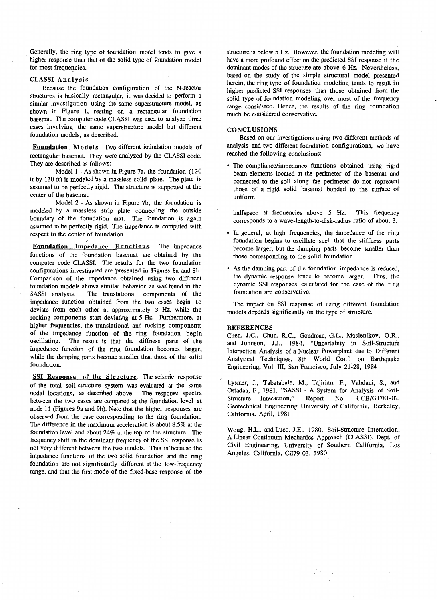Generally, the ring type of foundation model tends to give a higher response than that of the solid type of foundation model for most frequencies.

#### CLASSI Analysis

Because the foundation configuration of the N-reactor structures is basically rectangular, it was decided to perform a similar investigation using the same superstructure model, as shown in Figure 1, resting on a rectangular foundation basemat. The computer code CLASSI was used to analyze three cases involving the same superstructure model but different foundation models, as described.

Foundation Models. Two different foundation models of rectangular basemat. They were analyzed by the CLASSI code. They are described as follows:

Model 1 - As shown in Figure 7a, the foundation (130 ft by 130 ft) is modeled by a massless solid plate. The plate is assumed to be perfectly rigid. The structure is supported at the center of the basemat.

Model 2 - As shown in Figure 7b, the foundation is modeled by a massless strip plate connecting the outside boundary of the foundation mat. The foundation is again assumed to be perfectly rigid. The impedance is computed with respect to the center of foundation.

Foundation Impedance Functions. The impedance functions of the foundation basemat are obtained by the computer code CLASSI. The results for the two foundation configurations investigated are presented in Figures 8a and 8b. Comparison of the impedance obtained using two different foundation models shows similar behavior as was found in the SASSI analysis. The translational components of the impedance function obtained from the two cases begin to deviate from each other at approximately 3 Hz, while the rocking components start deviating at 5 Hz. Furthermore, at higher frequencies, the translational and rocking components of the impedance function of the ring foundation begin oscillating. The result is that the stiffness parts of the The result is that the stiffness parts of the impedance function of the ring foundation becomes larger, while the damping parts become smaller than those of the solid foundation.

SSI Response of the Structure. The seismic response of the total soil-structure system was evaluated at the same nodal locations, as described above. The response spectra between the two cases are compared at the foundation level at node 11 (Figures 9a and 9b). Note that the higher responses are observed from the case corresponding to the ring foundation. The difference in the maximum acceleration is about 8.5% at the foundation level and about 24% at the top of the structure. The frequency shift in the dominant frequency of the SSI response is not very different between the two models. This is ·because the impedance functions of the two solid foundation and the ring foundation are not significantly different at the low-frequency range, and that the first mode of the fixed-base response of the

structure is below 5 Hz. However, the foundation modeling will have a more profound effect on the predicted SSI response if the dominant modes of the structure are above 6 Hz. Nevertheless, based on the study of the simple structural model presented herein, the ring type of foundation modeling tends to result in higher predicted SSI responses than those obtained from the solid type of foundation modeling over most of the frequency range considered. Hence, the results of the ring foundation much be considered conservative.

### **CONCLUSIONS**

Based on our investigations using two different methods of analysis and two different foundation configurations, we have reached the following conclusions:

• The compliance/impedance functions obtained using rigid beam elements located at the perimeter of the basemat and connected to the soil along the perimeter do not represent those of a rigid solid basemat bonded to the surface of uniform

halfspace at frequencies above 5 Hz. This frequency corresponds to a wave-length-to-disk-radius ratio of about 3.

- In general, at high frequencies, the impedance of the ring foundation begins to oscillate such that the stiffness parts become larger, but the damping parts become smaller than those corresponding to the solid foundation.
- As the damping part of the foundation impedance is reduced, the dynamic response tends to become larger. Thus, the dynamic SSI responses calculated for the case of the ring foundation are conservative.

The impact on SSI response of using different foundation models depends significantly on the type of structure.

#### **REFERENCES**

Chen, J.C., Chun, R.C., Goudreau, G.L., Maslenikov, O.R., and Johnson, J.J., 1984, "Uncertainty in Soil-Structure Interaction Analysis of a Nuclear Powerplant due to Different Analytical Techniques, 8th World Conf. on Earthquake Engineering, Vol. III, San Francisco, July 21-28, 1984

Lysmer, J., Tabatabaie, M., Tajirian, F., Vahdani, S., and Ostadan, F., 1981, "SASSI - A System for Analysis of Soil-Structure Interaction," Report No. UCB/GT/81-02, Geotechnical Engineering University of California, Berkeley, California, April, 1981

Wong, H.L., and Luco, I.E., 1980, Soil-Structure Interaction: A Linear Continuum Mechanics Approach (CLASSI), Dept. of Civil Engineering, University of Southern California, Los Angeles, California, CE79-03, 1980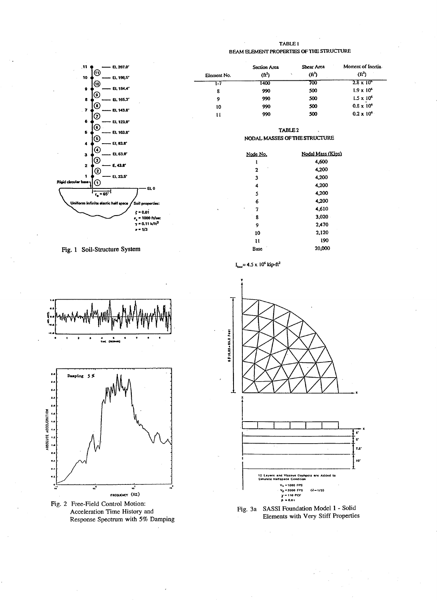

Fig. 1 Soil-Structure System



Fig. 2 Free-Field Control Motion: Acceleration Time History and Response Spectrum with 5% Damping



| Element No.                    | Section Area<br>$(\mathrm{ft}^2)$ | Shear Area<br>$(f(t^2))$ | Moment of Inertia<br>$(ft^2)$ |
|--------------------------------|-----------------------------------|--------------------------|-------------------------------|
| I-7                            | 1400                              | 700                      | $2.8 \times 10^6$             |
| 8                              | 990                               | 500                      | $1.9 \times 10^{6}$           |
| 9                              | 990                               | 500                      | $1.5 \times 10^6$             |
| 10                             | 990                               | 500                      | $0.8 \times 10^{6}$           |
| 11<br>$\overline{\phantom{a}}$ | 990                               | 500                      | $0.2 \times 10^{6}$           |

TABLE<sub>2</sub> NODAL MASSES OF THE STRUCTURE

| Node No.     | Nodal Mass (Kips) |
|--------------|-------------------|
| 1            | 4,600             |
| $\mathbf{2}$ | 4,200             |
| 3            | 4,200             |
| 4            | 4,200             |
| 5            | 4,200             |
| 6            | 4.200             |
| 7            | 4.610             |
| 8            | 3.020             |
| 9            | 2.470             |
| 10           | 2,120             |
| u            | 190               |
| Race         | 20.000            |

 $I_{base}$ = 4.5 x 10<sup>6</sup> kip-ft<sup>2</sup>



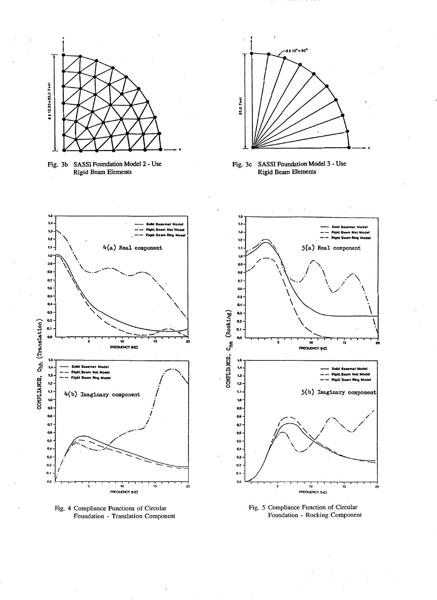

Fig. 3b SASSI Foundation Model 2 - Use **Rigid Beam Elements** 



Fig. 3c SASSI Foundation Model 3 - Use **Rigid Beam Elements** 



Fig. 4 Compliance Functions of Circular Foundation - Translation Component



Fig. 5 Compliance Function of Circular Foundation - Rocking Component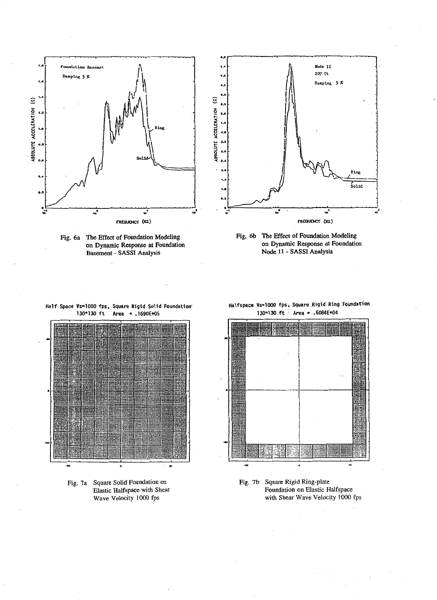

Fig. 6a The Effect of Foundation Modeling on Dynamic Response at Foundation Basement - SASSI Analysis





Half-Space Vs=lOOO fps, Square Rigid Solid foundation'  $Area = .1690E + 05$ 



Fig. 7a Square Solid Foundation on Elastic Halfspace with Shear Wave Velocity 1000 fps

### Halfspace Vs=1000 fps, Square Rigid Ring Foundation 130\*130-ft · Area= .6084E+04



Fig. 7b Square Rigid Ring-plate Foundation on Elastic Halfspace with Shear Wave Velocity 1000 fps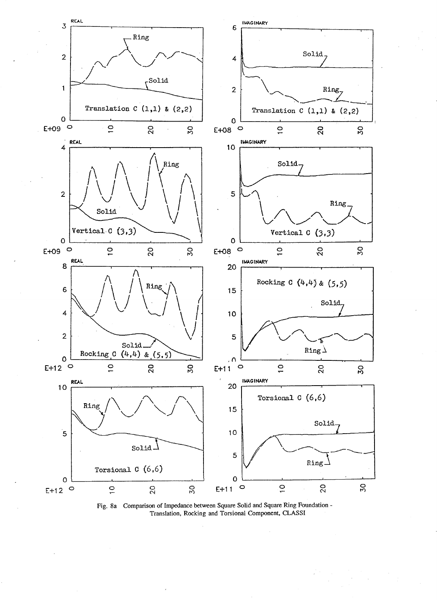

Fig. 8a Comparison of Impedance between Square Solid and Square Ring Foundation - Translation, Rocking and Torsional Component, CLASSI